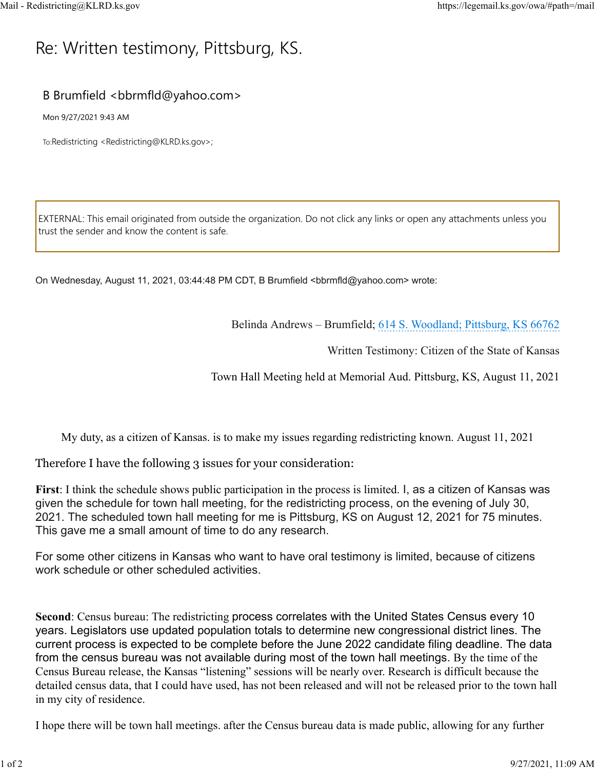## R[e: Wr](https://legemail.ks.gov/owa/#path=/mail)itten testimony, Pittsburg, KS.

## B Brumfield <bbrmfld@yahoo.com>

Mon 9/27/2021 9:43 AM

To:Redistricting <Redistricting@KLRD.ks.gov>;

EXTERNAL: This email originated from outside the organization. Do not click any links or open any attachments unless you trust the sender and know the content is safe.

On Wednesday, August 11, 2021, 03:44:48 PM CDT, B Brumfield <bbrmfld@yahoo.com> wrote:

Belinda Andrews – Brumfield; 614 S. Woodland; Pittsburg, KS 66762

Written Testimony: Citizen of the State of Kansas

Town Hall Meeting held at Memorial Aud. Pittsburg, KS, August 11, 2021

My duty, as a citizen of Kansas. is to make my issues regarding redistricting known. August 11, 2021

Therefore I have the following 3 issues for your consideration:

**First**: I think the schedule shows public participation in the process is limited. I, as a citizen of Kansas was given the schedule for town hall meeting, for the redistricting process, on the evening of July 30, 2021. The scheduled town hall meeting for me is Pittsburg, KS on August 12, 2021 for 75 minutes. This gave me a small amount of time to do any research.

For some other citizens in Kansas who want to have oral testimony is limited, because of citizens work schedule or other scheduled activities.

**Second**: Census bureau: The redistricting process correlates with the United States Census every 10 years. Legislators use updated population totals to determine new congressional district lines. The current process is expected to be complete before the June 2022 candidate filing deadline. The data from the census bureau was not available during most of the town hall meetings. By the time of the Census Bureau release, the Kansas "listening" sessions will be nearly over. Research is difficult because the detailed census data, that I could have used, has not been released and will not be released prior to the town hall in my city of residence.

I hope there will be town hall meetings. after the Census bureau data is made public, allowing for any further